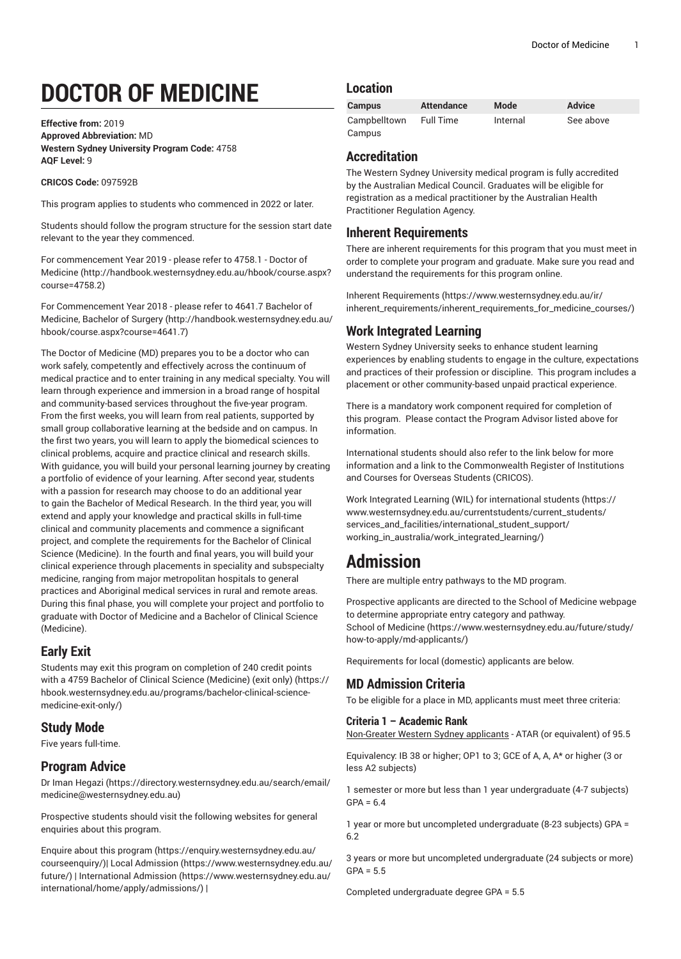# **DOCTOR OF MEDICINE**

**Effective from:** 2019 **Approved Abbreviation:** MD **Western Sydney University Program Code:** 4758 **AQF Level:** 9

#### **CRICOS Code:** 097592B

This program applies to students who commenced in 2022 or later.

Students should follow the program structure for the session start date relevant to the year they commenced.

For [commencement](http://handbook.westernsydney.edu.au/hbook/course.aspx?course=4758.2) Year 2019 - please refer to 4758.1 - Doctor of [Medicine \(http://handbook.westernsydney.edu.au/hbook/course.aspx?](http://handbook.westernsydney.edu.au/hbook/course.aspx?course=4758.2) [course=4758.2\)](http://handbook.westernsydney.edu.au/hbook/course.aspx?course=4758.2)

For [Commencement](http://handbook.westernsydney.edu.au/hbook/course.aspx?course=4641.7) Year 2018 - please refer to 4641.7 Bachelor of [Medicine,](http://handbook.westernsydney.edu.au/hbook/course.aspx?course=4641.7) Bachelor of Surgery ([http://handbook.westernsydney.edu.au/](http://handbook.westernsydney.edu.au/hbook/course.aspx?course=4641.7) [hbook/course.aspx?course=4641.7\)](http://handbook.westernsydney.edu.au/hbook/course.aspx?course=4641.7)

The Doctor of Medicine (MD) prepares you to be a doctor who can work safely, competently and effectively across the continuum of medical practice and to enter training in any medical specialty. You will learn through experience and immersion in a broad range of hospital and community-based services throughout the five-year program. From the first weeks, you will learn from real patients, supported by small group collaborative learning at the bedside and on campus. In the first two years, you will learn to apply the biomedical sciences to clinical problems, acquire and practice clinical and research skills. With guidance, you will build your personal learning journey by creating a portfolio of evidence of your learning. After second year, students with a passion for research may choose to do an additional year to gain the Bachelor of Medical Research. In the third year, you will extend and apply your knowledge and practical skills in full-time clinical and community placements and commence a significant project, and complete the requirements for the Bachelor of Clinical Science (Medicine). In the fourth and final years, you will build your clinical experience through placements in speciality and subspecialty medicine, ranging from major metropolitan hospitals to general practices and Aboriginal medical services in rural and remote areas. During this final phase, you will complete your project and portfolio to graduate with Doctor of Medicine and a Bachelor of Clinical Science (Medicine).

## **Early Exit**

Students may exit this program on completion of 240 credit points with a [4759 Bachelor of Clinical Science \(Medicine\) \(exit only\)](https://hbook.westernsydney.edu.au/programs/bachelor-clinical-science-medicine-exit-only/) ([https://](https://hbook.westernsydney.edu.au/programs/bachelor-clinical-science-medicine-exit-only/) [hbook.westernsydney.edu.au/programs/bachelor-clinical-science](https://hbook.westernsydney.edu.au/programs/bachelor-clinical-science-medicine-exit-only/)[medicine-exit-only/\)](https://hbook.westernsydney.edu.au/programs/bachelor-clinical-science-medicine-exit-only/)

## **Study Mode**

Five years full-time.

## **Program Advice**

[Dr Iman Hegazi](https://directory.westernsydney.edu.au/search/email/medicine@westernsydney.edu.au) ([https://directory.westernsydney.edu.au/search/email/](https://directory.westernsydney.edu.au/search/email/medicine@westernsydney.edu.au) [medicine@westernsydney.edu.au\)](https://directory.westernsydney.edu.au/search/email/medicine@westernsydney.edu.au)

Prospective students should visit the following websites for general enquiries about this program.

Enquire about this [program \(https://enquiry.westernsydney.edu.au/](https://enquiry.westernsydney.edu.au/courseenquiry/) [courseenquiry/](https://enquiry.westernsydney.edu.au/courseenquiry/))| [Local Admission \(https://www.westernsydney.edu.au/](https://www.westernsydney.edu.au/future/) [future/\)](https://www.westernsydney.edu.au/future/) | [International Admission](https://www.westernsydney.edu.au/international/home/apply/admissions/) ([https://www.westernsydney.edu.au/](https://www.westernsydney.edu.au/international/home/apply/admissions/) [international/home/apply/admissions/](https://www.westernsydney.edu.au/international/home/apply/admissions/)) |

#### **Location**

| <b>Campus</b>          | Attendance | Mode     | <b>Advice</b> |
|------------------------|------------|----------|---------------|
| Campbelltown<br>Campus | Full Time  | Internal | See above     |

#### **Accreditation**

The Western Sydney University medical program is fully accredited by the Australian Medical Council. Graduates will be eligible for registration as a medical practitioner by the Australian Health Practitioner Regulation Agency.

### **Inherent Requirements**

There are inherent requirements for this program that you must meet in order to complete your program and graduate. Make sure you read and understand the requirements for this program online.

Inherent [Requirements](https://www.westernsydney.edu.au/ir/inherent_requirements/inherent_requirements_for_medicine_courses/) ([https://www.westernsydney.edu.au/ir/](https://www.westernsydney.edu.au/ir/inherent_requirements/inherent_requirements_for_medicine_courses/) [inherent\\_requirements/inherent\\_requirements\\_for\\_medicine\\_courses/\)](https://www.westernsydney.edu.au/ir/inherent_requirements/inherent_requirements_for_medicine_courses/)

## **Work Integrated Learning**

Western Sydney University seeks to enhance student learning experiences by enabling students to engage in the culture, expectations and practices of their profession or discipline. This program includes a placement or other community-based unpaid practical experience.

There is a mandatory work component required for completion of this program. Please contact the Program Advisor listed above for information.

International students should also refer to the link below for more information and a link to the Commonwealth Register of Institutions and Courses for Overseas Students (CRICOS).

Work Integrated Learning (WIL) for [international](https://www.westernsydney.edu.au/currentstudents/current_students/services_and_facilities/international_student_support/working_in_australia/work_integrated_learning/) students ([https://](https://www.westernsydney.edu.au/currentstudents/current_students/services_and_facilities/international_student_support/working_in_australia/work_integrated_learning/) [www.westernsydney.edu.au/currentstudents/current\\_students/](https://www.westernsydney.edu.au/currentstudents/current_students/services_and_facilities/international_student_support/working_in_australia/work_integrated_learning/) [services\\_and\\_facilities/international\\_student\\_support/](https://www.westernsydney.edu.au/currentstudents/current_students/services_and_facilities/international_student_support/working_in_australia/work_integrated_learning/) [working\\_in\\_australia/work\\_integrated\\_learning/](https://www.westernsydney.edu.au/currentstudents/current_students/services_and_facilities/international_student_support/working_in_australia/work_integrated_learning/))

## **Admission**

There are multiple entry pathways to the MD program.

Prospective applicants are directed to the School of Medicine webpage to determine appropriate entry category and pathway. [School of Medicine](https://www.westernsydney.edu.au/future/study/how-to-apply/md-applicants/) ([https://www.westernsydney.edu.au/future/study/](https://www.westernsydney.edu.au/future/study/how-to-apply/md-applicants/) [how-to-apply/md-applicants/](https://www.westernsydney.edu.au/future/study/how-to-apply/md-applicants/))

Requirements for local (domestic) applicants are below.

## **MD Admission Criteria**

To be eligible for a place in MD, applicants must meet three criteria:

#### **Criteria 1 – Academic Rank**

Non-Greater Western Sydney applicants - ATAR (or equivalent) of 95.5

Equivalency: IB 38 or higher; OP1 to 3; GCE of A, A, A\* or higher (3 or less A2 subjects)

1 semester or more but less than 1 year undergraduate (4-7 subjects)  $GPA = 6.4$ 

1 year or more but uncompleted undergraduate (8-23 subjects) GPA = 6.2

3 years or more but uncompleted undergraduate (24 subjects or more)  $GPA = 5.5$ 

Completed undergraduate degree GPA = 5.5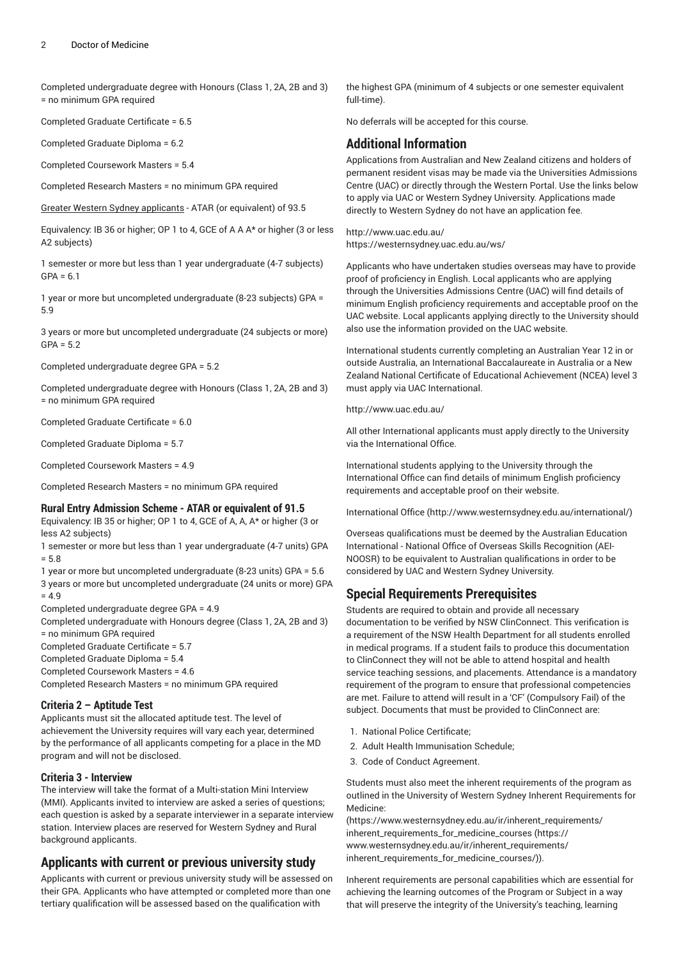Completed undergraduate degree with Honours (Class 1, 2A, 2B and 3) = no minimum GPA required

Completed Graduate Certificate = 6.5

Completed Graduate Diploma = 6.2

Completed Coursework Masters = 5.4

Completed Research Masters = no minimum GPA required

Greater Western Sydney applicants - ATAR (or equivalent) of 93.5

Equivalency: IB 36 or higher; OP 1 to 4, GCE of A A A\* or higher (3 or less A2 subjects)

1 semester or more but less than 1 year undergraduate (4-7 subjects)  $GPA = 6.1$ 

1 year or more but uncompleted undergraduate (8-23 subjects) GPA = 5.9

3 years or more but uncompleted undergraduate (24 subjects or more)  $GPA = 5.2$ 

Completed undergraduate degree GPA = 5.2

Completed undergraduate degree with Honours (Class 1, 2A, 2B and 3) = no minimum GPA required

Completed Graduate Certificate = 6.0

Completed Graduate Diploma = 5.7

Completed Coursework Masters = 4.9

Completed Research Masters = no minimum GPA required

#### **Rural Entry Admission Scheme - ATAR or equivalent of 91.5**

Equivalency: IB 35 or higher; OP 1 to 4, GCE of A, A, A\* or higher (3 or less A2 subjects)

1 semester or more but less than 1 year undergraduate (4-7 units) GPA  $= 5.8$ 

1 year or more but uncompleted undergraduate (8-23 units) GPA = 5.6

3 years or more but uncompleted undergraduate (24 units or more) GPA  $= 4.9$ 

Completed undergraduate degree GPA = 4.9

Completed undergraduate with Honours degree (Class 1, 2A, 2B and 3) = no minimum GPA required

Completed Graduate Certificate = 5.7

Completed Graduate Diploma = 5.4

Completed Coursework Masters = 4.6

Completed Research Masters = no minimum GPA required

#### **Criteria 2 – Aptitude Test**

Applicants must sit the allocated aptitude test. The level of achievement the University requires will vary each year, determined by the performance of all applicants competing for a place in the MD program and will not be disclosed.

#### **Criteria 3 - Interview**

The interview will take the format of a Multi-station Mini Interview (MMI). Applicants invited to interview are asked a series of questions; each question is asked by a separate interviewer in a separate interview station. Interview places are reserved for Western Sydney and Rural background applicants.

#### **Applicants with current or previous university study**

Applicants with current or previous university study will be assessed on their GPA. Applicants who have attempted or completed more than one tertiary qualification will be assessed based on the qualification with

the highest GPA (minimum of 4 subjects or one semester equivalent full-time).

No deferrals will be accepted for this course.

#### **Additional Information**

Applications from Australian and New Zealand citizens and holders of permanent resident visas may be made via the Universities Admissions Centre (UAC) or directly through the Western Portal. Use the links below to apply via UAC or Western Sydney University. Applications made directly to Western Sydney do not have an application fee.

<http://www.uac.edu.au/> <https://westernsydney.uac.edu.au/ws/>

Applicants who have undertaken studies overseas may have to provide proof of proficiency in English. Local applicants who are applying through the Universities Admissions Centre (UAC) will find details of minimum English proficiency requirements and acceptable proof on the UAC website. Local applicants applying directly to the University should also use the information provided on the UAC website.

International students currently completing an Australian Year 12 in or outside Australia, an International Baccalaureate in Australia or a New Zealand National Certificate of Educational Achievement (NCEA) level 3 must apply via UAC International.

<http://www.uac.edu.au/>

All other International applicants must apply directly to the University via the International Office.

International students applying to the University through the International Office can find details of minimum English proficiency requirements and acceptable proof on their website.

[International Office](http://www.westernsydney.edu.au/international/) ([http://www.westernsydney.edu.au/international/\)](http://www.westernsydney.edu.au/international/)

Overseas qualifications must be deemed by the Australian Education International - National Office of Overseas Skills Recognition (AEI-NOOSR) to be equivalent to Australian qualifications in order to be considered by UAC and Western Sydney University.

#### **Special Requirements Prerequisites**

Students are required to obtain and provide all necessary documentation to be verified by NSW ClinConnect. This verification is a requirement of the NSW Health Department for all students enrolled in medical programs. If a student fails to produce this documentation to ClinConnect they will not be able to attend hospital and health service teaching sessions, and placements. Attendance is a mandatory requirement of the program to ensure that professional competencies are met. Failure to attend will result in a 'CF' (Compulsory Fail) of the subject. Documents that must be provided to ClinConnect are:

- 1. National Police Certificate;
- 2. Adult Health Immunisation Schedule;
- 3. Code of Conduct Agreement.

Students must also meet the inherent requirements of the program as outlined in the University of Western Sydney Inherent Requirements for Medicine:

([https://www.westernsydney.edu.au/ir/inherent\\_requirements/](https://www.westernsydney.edu.au/ir/inherent_requirements/inherent_requirements_for_medicine_courses/) [inherent\\_requirements\\_for\\_medicine\\_courses](https://www.westernsydney.edu.au/ir/inherent_requirements/inherent_requirements_for_medicine_courses/) ([https://](https://www.westernsydney.edu.au/ir/inherent_requirements/inherent_requirements_for_medicine_courses/) [www.westernsydney.edu.au/ir/inherent\\_requirements/](https://www.westernsydney.edu.au/ir/inherent_requirements/inherent_requirements_for_medicine_courses/) [inherent\\_requirements\\_for\\_medicine\\_courses/\)](https://www.westernsydney.edu.au/ir/inherent_requirements/inherent_requirements_for_medicine_courses/)).

Inherent requirements are personal capabilities which are essential for achieving the learning outcomes of the Program or Subject in a way that will preserve the integrity of the University's teaching, learning